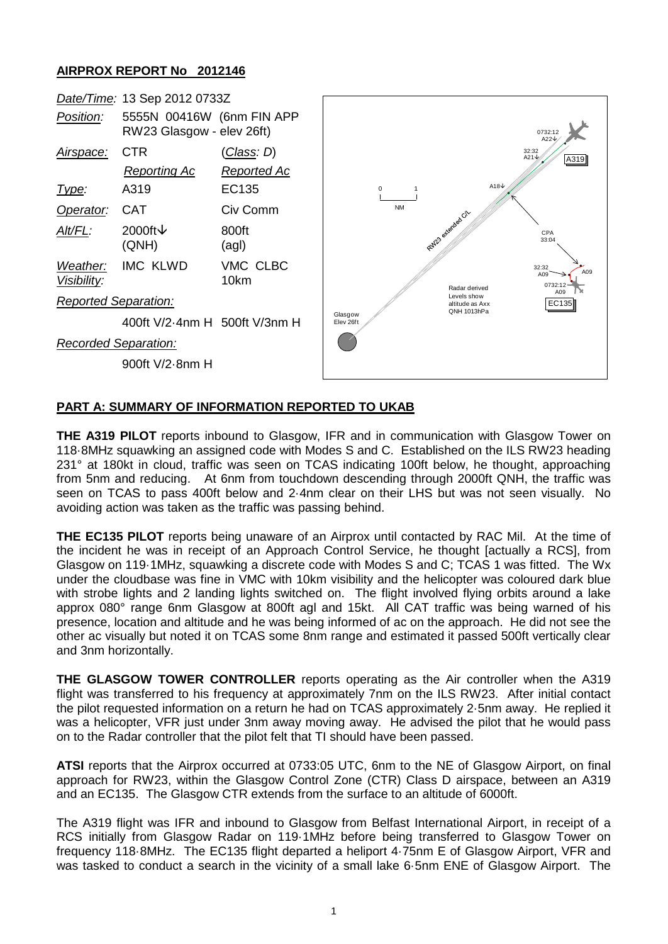## **AIRPROX REPORT No 2012146**



## **PART A: SUMMARY OF INFORMATION REPORTED TO UKAB**

**THE A319 PILOT** reports inbound to Glasgow, IFR and in communication with Glasgow Tower on 118·8MHz squawking an assigned code with Modes S and C. Established on the ILS RW23 heading 231° at 180kt in cloud, traffic was seen on TCAS indicating 100ft below, he thought, approaching from 5nm and reducing. At 6nm from touchdown descending through 2000ft QNH, the traffic was seen on TCAS to pass 400ft below and 2·4nm clear on their LHS but was not seen visually. No avoiding action was taken as the traffic was passing behind.

**THE EC135 PILOT** reports being unaware of an Airprox until contacted by RAC Mil. At the time of the incident he was in receipt of an Approach Control Service, he thought [actually a RCS], from Glasgow on 119·1MHz, squawking a discrete code with Modes S and C; TCAS 1 was fitted. The Wx under the cloudbase was fine in VMC with 10km visibility and the helicopter was coloured dark blue with strobe lights and 2 landing lights switched on. The flight involved flying orbits around a lake approx 080° range 6nm Glasgow at 800ft agl and 15kt. All CAT traffic was being warned of his presence, location and altitude and he was being informed of ac on the approach. He did not see the other ac visually but noted it on TCAS some 8nm range and estimated it passed 500ft vertically clear and 3nm horizontally.

**THE GLASGOW TOWER CONTROLLER** reports operating as the Air controller when the A319 flight was transferred to his frequency at approximately 7nm on the ILS RW23. After initial contact the pilot requested information on a return he had on TCAS approximately 2·5nm away. He replied it was a helicopter, VFR just under 3nm away moving away. He advised the pilot that he would pass on to the Radar controller that the pilot felt that TI should have been passed.

**ATSI** reports that the Airprox occurred at 0733:05 UTC, 6nm to the NE of Glasgow Airport, on final approach for RW23, within the Glasgow Control Zone (CTR) Class D airspace, between an A319 and an EC135. The Glasgow CTR extends from the surface to an altitude of 6000ft.

The A319 flight was IFR and inbound to Glasgow from Belfast International Airport, in receipt of a RCS initially from Glasgow Radar on 119·1MHz before being transferred to Glasgow Tower on frequency 118·8MHz. The EC135 flight departed a heliport 4·75nm E of Glasgow Airport, VFR and was tasked to conduct a search in the vicinity of a small lake 6·5nm ENE of Glasgow Airport. The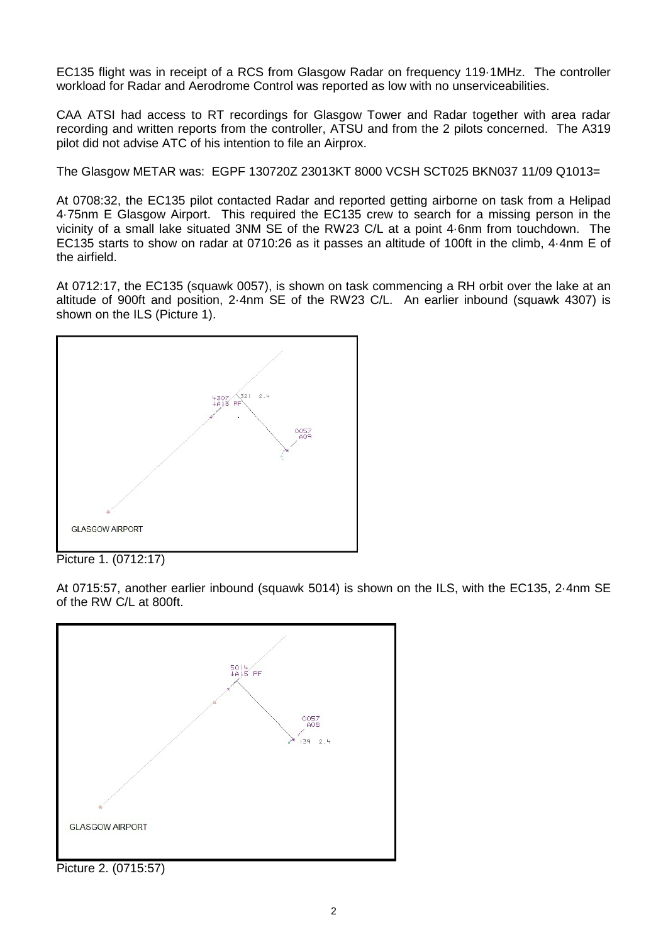EC135 flight was in receipt of a RCS from Glasgow Radar on frequency 119·1MHz. The controller workload for Radar and Aerodrome Control was reported as low with no unserviceabilities.

CAA ATSI had access to RT recordings for Glasgow Tower and Radar together with area radar recording and written reports from the controller, ATSU and from the 2 pilots concerned. The A319 pilot did not advise ATC of his intention to file an Airprox.

The Glasgow METAR was: EGPF 130720Z 23013KT 8000 VCSH SCT025 BKN037 11/09 Q1013=

At 0708:32, the EC135 pilot contacted Radar and reported getting airborne on task from a Helipad 4·75nm E Glasgow Airport. This required the EC135 crew to search for a missing person in the vicinity of a small lake situated 3NM SE of the RW23 C/L at a point 4·6nm from touchdown. The EC135 starts to show on radar at 0710:26 as it passes an altitude of 100ft in the climb, 4·4nm E of the airfield.

At 0712:17, the EC135 (squawk 0057), is shown on task commencing a RH orbit over the lake at an altitude of 900ft and position, 2·4nm SE of the RW23 C/L. An earlier inbound (squawk 4307) is shown on the ILS (Picture 1).



Picture 1. (0712:17)

At 0715:57, another earlier inbound (squawk 5014) is shown on the ILS, with the EC135, 2·4nm SE of the RW C/L at 800ft.

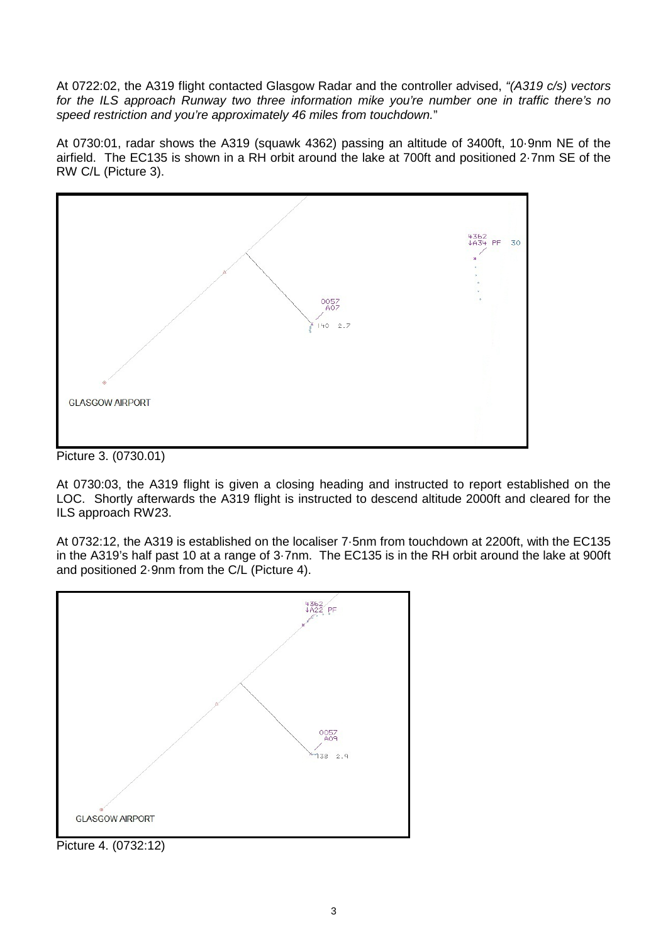At 0722:02, the A319 flight contacted Glasgow Radar and the controller advised, *"(A319 c/s) vectors for the ILS approach Runway two three information mike you're number one in traffic there's no speed restriction and you're approximately 46 miles from touchdown.*"

At 0730:01, radar shows the A319 (squawk 4362) passing an altitude of 3400ft, 10·9nm NE of the airfield. The EC135 is shown in a RH orbit around the lake at 700ft and positioned 2·7nm SE of the RW C/L (Picture 3).



Picture 3. (0730.01)

At 0730:03, the A319 flight is given a closing heading and instructed to report established on the LOC. Shortly afterwards the A319 flight is instructed to descend altitude 2000ft and cleared for the ILS approach RW23.

At 0732:12, the A319 is established on the localiser 7·5nm from touchdown at 2200ft, with the EC135 in the A319's half past 10 at a range of 3·7nm. The EC135 is in the RH orbit around the lake at 900ft and positioned 2·9nm from the C/L (Picture 4).



Picture 4. (0732:12)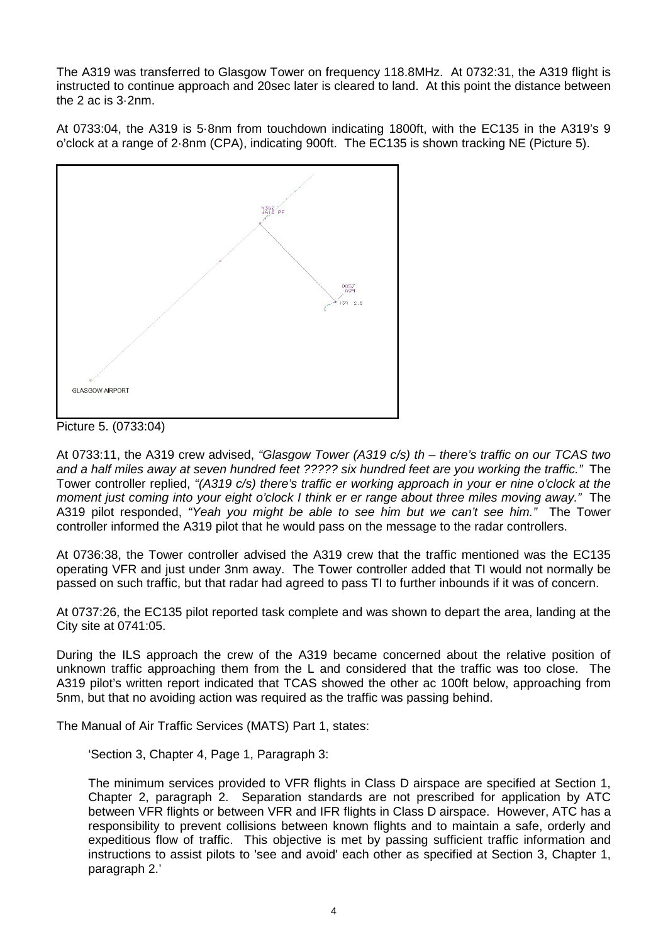The A319 was transferred to Glasgow Tower on frequency 118.8MHz. At 0732:31, the A319 flight is instructed to continue approach and 20sec later is cleared to land. At this point the distance between the 2 ac is 3·2nm.

At 0733:04, the A319 is 5·8nm from touchdown indicating 1800ft, with the EC135 in the A319's 9 o'clock at a range of 2·8nm (CPA), indicating 900ft. The EC135 is shown tracking NE (Picture 5).



Picture 5. (0733:04)

At 0733:11, the A319 crew advised, *"Glasgow Tower (A319 c/s) th – there's traffic on our TCAS two and a half miles away at seven hundred feet ????? six hundred feet are you working the traffic."* The Tower controller replied, *"(A319 c/s) there's traffic er working approach in your er nine o'clock at the moment just coming into your eight o'clock I think er er range about three miles moving away."* The A319 pilot responded, *"Yeah you might be able to see him but we can't see him."* The Tower controller informed the A319 pilot that he would pass on the message to the radar controllers.

At 0736:38, the Tower controller advised the A319 crew that the traffic mentioned was the EC135 operating VFR and just under 3nm away. The Tower controller added that TI would not normally be passed on such traffic, but that radar had agreed to pass TI to further inbounds if it was of concern.

At 0737:26, the EC135 pilot reported task complete and was shown to depart the area, landing at the City site at 0741:05.

During the ILS approach the crew of the A319 became concerned about the relative position of unknown traffic approaching them from the L and considered that the traffic was too close. The A319 pilot's written report indicated that TCAS showed the other ac 100ft below, approaching from 5nm, but that no avoiding action was required as the traffic was passing behind.

The Manual of Air Traffic Services (MATS) Part 1, states:

'Section 3, Chapter 4, Page 1, Paragraph 3:

The minimum services provided to VFR flights in Class D airspace are specified at Section 1, Chapter 2, paragraph 2. Separation standards are not prescribed for application by ATC between VFR flights or between VFR and IFR flights in Class D airspace. However, ATC has a responsibility to prevent collisions between known flights and to maintain a safe, orderly and expeditious flow of traffic. This objective is met by passing sufficient traffic information and instructions to assist pilots to 'see and avoid' each other as specified at Section 3, Chapter 1, paragraph 2.'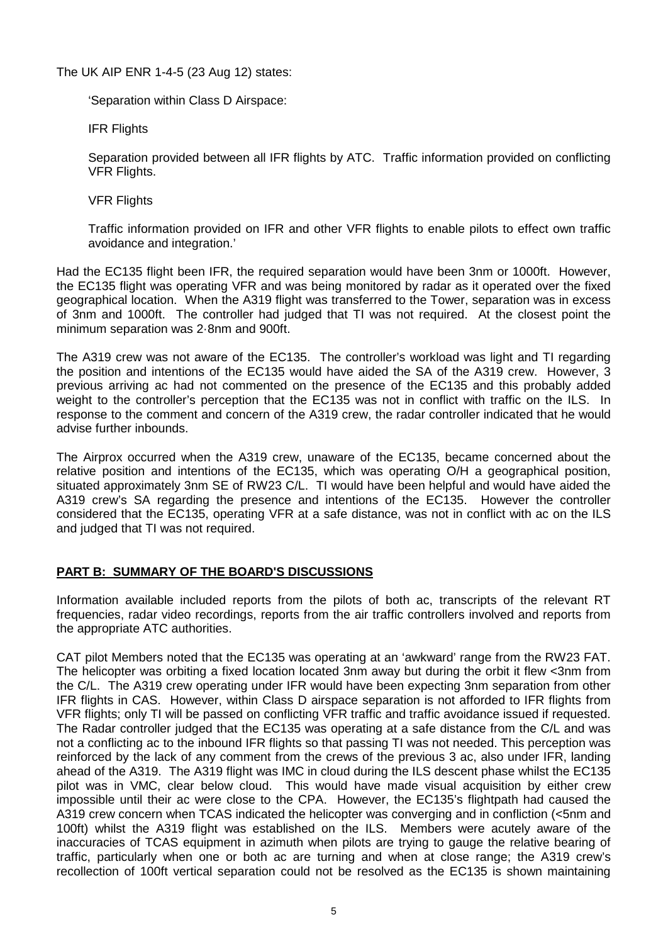The UK AIP ENR 1-4-5 (23 Aug 12) states:

'Separation within Class D Airspace:

IFR Flights

Separation provided between all IFR flights by ATC. Traffic information provided on conflicting **VFR Flights.** 

VFR Flights

Traffic information provided on IFR and other VFR flights to enable pilots to effect own traffic avoidance and integration.'

Had the EC135 flight been IFR, the required separation would have been 3nm or 1000ft. However, the EC135 flight was operating VFR and was being monitored by radar as it operated over the fixed geographical location. When the A319 flight was transferred to the Tower, separation was in excess of 3nm and 1000ft. The controller had judged that TI was not required. At the closest point the minimum separation was 2·8nm and 900ft.

The A319 crew was not aware of the EC135. The controller's workload was light and TI regarding the position and intentions of the EC135 would have aided the SA of the A319 crew. However, 3 previous arriving ac had not commented on the presence of the EC135 and this probably added weight to the controller's perception that the EC135 was not in conflict with traffic on the ILS. In response to the comment and concern of the A319 crew, the radar controller indicated that he would advise further inbounds.

The Airprox occurred when the A319 crew, unaware of the EC135, became concerned about the relative position and intentions of the EC135, which was operating O/H a geographical position, situated approximately 3nm SE of RW23 C/L. TI would have been helpful and would have aided the A319 crew's SA regarding the presence and intentions of the EC135. However the controller considered that the EC135, operating VFR at a safe distance, was not in conflict with ac on the ILS and judged that TI was not required.

## **PART B: SUMMARY OF THE BOARD'S DISCUSSIONS**

Information available included reports from the pilots of both ac, transcripts of the relevant RT frequencies, radar video recordings, reports from the air traffic controllers involved and reports from the appropriate ATC authorities.

CAT pilot Members noted that the EC135 was operating at an 'awkward' range from the RW23 FAT. The helicopter was orbiting a fixed location located 3nm away but during the orbit it flew <3nm from the C/L. The A319 crew operating under IFR would have been expecting 3nm separation from other IFR flights in CAS. However, within Class D airspace separation is not afforded to IFR flights from VFR flights; only TI will be passed on conflicting VFR traffic and traffic avoidance issued if requested. The Radar controller judged that the EC135 was operating at a safe distance from the C/L and was not a conflicting ac to the inbound IFR flights so that passing TI was not needed. This perception was reinforced by the lack of any comment from the crews of the previous 3 ac, also under IFR, landing ahead of the A319. The A319 flight was IMC in cloud during the ILS descent phase whilst the EC135 pilot was in VMC, clear below cloud. This would have made visual acquisition by either crew impossible until their ac were close to the CPA. However, the EC135's flightpath had caused the A319 crew concern when TCAS indicated the helicopter was converging and in confliction (<5nm and 100ft) whilst the A319 flight was established on the ILS. Members were acutely aware of the inaccuracies of TCAS equipment in azimuth when pilots are trying to gauge the relative bearing of traffic, particularly when one or both ac are turning and when at close range; the A319 crew's recollection of 100ft vertical separation could not be resolved as the EC135 is shown maintaining